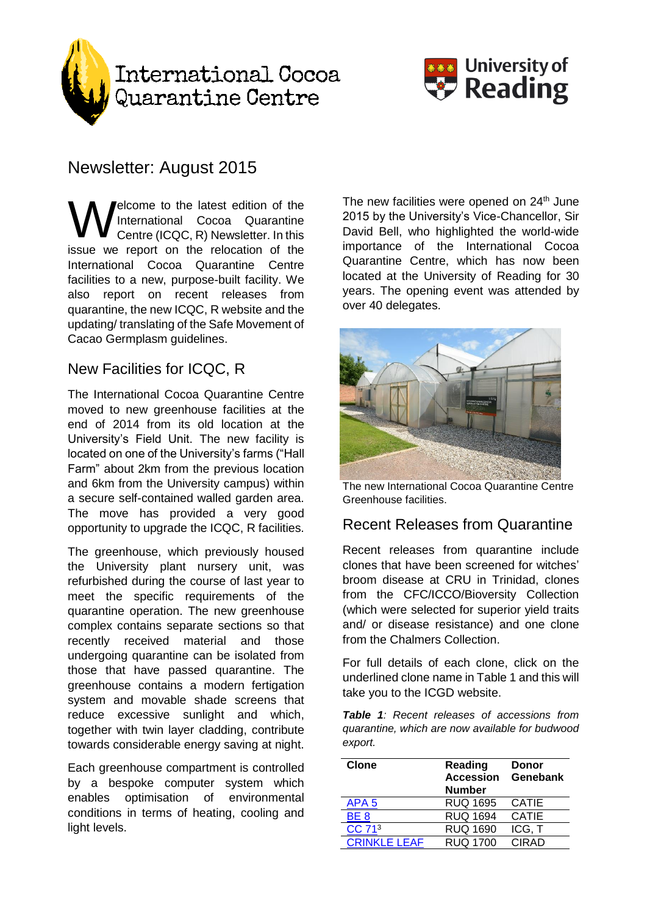



# Newsletter: August 2015

elcome to the latest edition of the International Cocoa Quarantine Centre (ICQC, R) Newsletter. In this issue we report on the relocation of the International Cocoa Quarantine Centre facilities to a new, purpose-built facility. We also report on recent releases from quarantine, the new ICQC, R website and the updating/ translating of the Safe Movement of Cacao Germplasm guidelines. W

## New Facilities for ICQC, R

The International Cocoa Quarantine Centre moved to new greenhouse facilities at the end of 2014 from its old location at the University's Field Unit. The new facility is located on one of the University's farms ("Hall Farm" about 2km from the previous location and 6km from the University campus) within a secure self-contained walled garden area. The move has provided a very good opportunity to upgrade the ICQC, R facilities.

The greenhouse, which previously housed the University plant nursery unit, was refurbished during the course of last year to meet the specific requirements of the quarantine operation. The new greenhouse complex contains separate sections so that recently received material and those undergoing quarantine can be isolated from those that have passed quarantine. The greenhouse contains a modern fertigation system and movable shade screens that reduce excessive sunlight and which, together with twin layer cladding, contribute towards considerable energy saving at night.

Each greenhouse compartment is controlled by a bespoke computer system which enables optimisation of environmental conditions in terms of heating, cooling and light levels.

The new facilities were opened on 24<sup>th</sup> June 2015 by the University's Vice-Chancellor, Sir David Bell, who highlighted the world-wide importance of the International Cocoa Quarantine Centre, which has now been located at the University of Reading for 30 years. The opening event was attended by over 40 delegates.



The new International Cocoa Quarantine Centre Greenhouse facilities.

#### Recent Releases from Quarantine

Recent releases from quarantine include clones that have been screened for witches' broom disease at CRU in Trinidad, clones from the CFC/ICCO/Bioversity Collection (which were selected for superior yield traits and/ or disease resistance) and one clone from the Chalmers Collection.

For full details of each clone, click on the underlined clone name in Table 1 and this will take you to the ICGD website.

*Table 1: Recent releases of accessions from quarantine, which are now available for budwood export.* 

| <b>Clone</b>        | <b>Reading</b><br><b>Accession</b><br><b>Number</b> | Donor<br>Genebank |
|---------------------|-----------------------------------------------------|-------------------|
| APA <sub>5</sub>    | <b>RUQ 1695</b>                                     | <b>CATIE</b>      |
| BE <sub>8</sub>     | <b>RUQ 1694</b>                                     | <b>CATIE</b>      |
| CC 71 <sup>3</sup>  | <b>RUQ 1690</b>                                     | ICG, T            |
| <b>CRINKLE LEAF</b> | <b>RUQ 1700</b>                                     | CIRAD             |